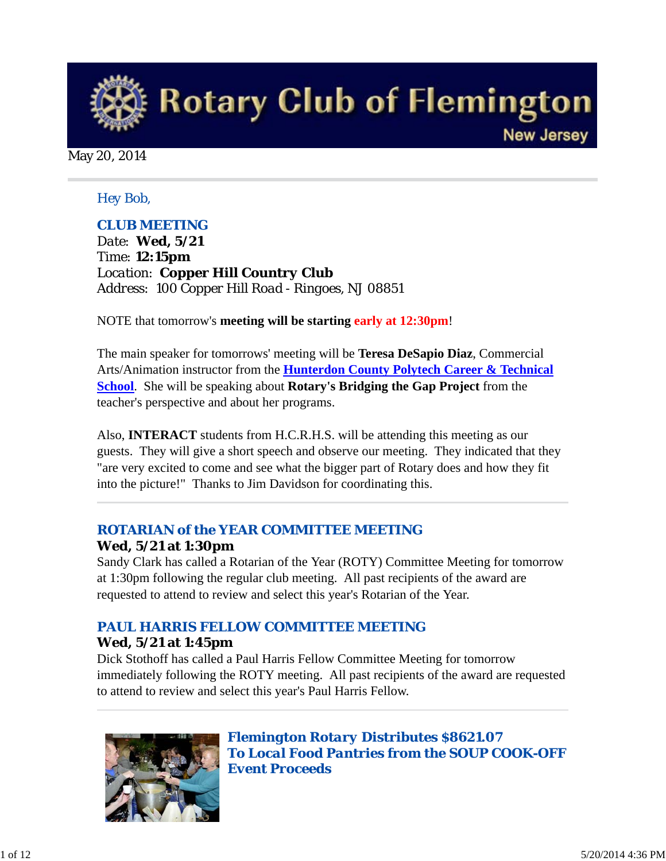

May 20, 2014

#### *Hey Bob,*

### *CLUB MEETING*

*Date: Wed, 5/21 Time: 12:15pm Location: Copper Hill Country Club Address: 100 Copper Hill Road - Ringoes, NJ 08851* 

NOTE that tomorrow's **meeting will be starting early at 12:30pm**!

The main speaker for tomorrows' meeting will be **Teresa DeSapio Diaz**, Commercial Arts/Animation instructor from the **Hunterdon County Polytech Career & Technical School**. She will be speaking about **Rotary's Bridging the Gap Project** from the teacher's perspective and about her programs.

Also, **INTERACT** students from H.C.R.H.S. will be attending this meeting as our guests. They will give a short speech and observe our meeting. They indicated that they "are very excited to come and see what the bigger part of Rotary does and how they fit into the picture!" Thanks to Jim Davidson for coordinating this.

# *ROTARIAN of the YEAR COMMITTEE MEETING*

### **Wed, 5/21 at 1:30pm**

Sandy Clark has called a Rotarian of the Year (ROTY) Committee Meeting for tomorrow at 1:30pm following the regular club meeting. All past recipients of the award are requested to attend to review and select this year's Rotarian of the Year.

## *PAUL HARRIS FELLOW COMMITTEE MEETING*

#### **Wed, 5/21 at 1:45pm**

Dick Stothoff has called a Paul Harris Fellow Committee Meeting for tomorrow immediately following the ROTY meeting. All past recipients of the award are requested to attend to review and select this year's Paul Harris Fellow.



*Flemington Rotary Distributes \$8621.07 To Local Food Pantries from the SOUP COOK-OFF Event Proceeds*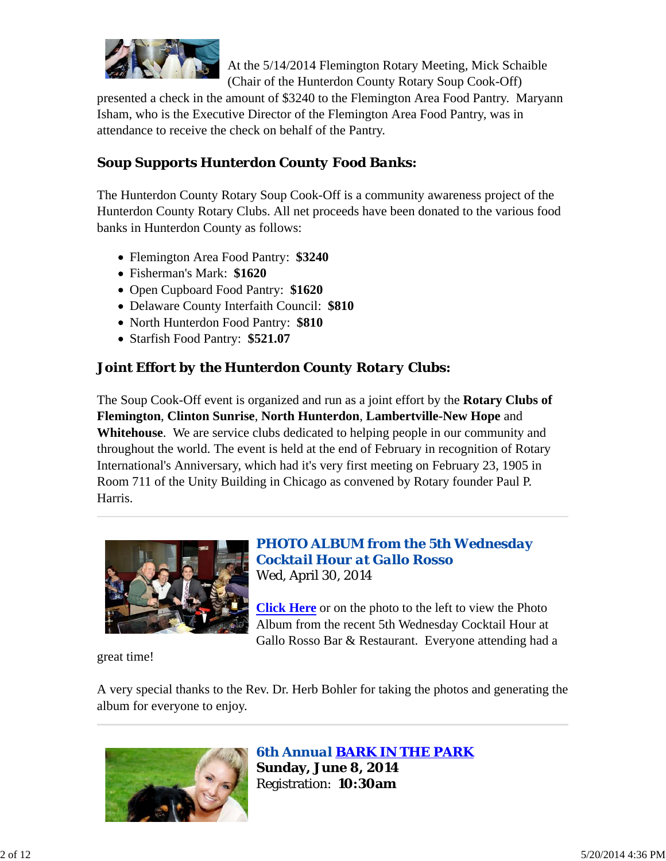

At the 5/14/2014 Flemington Rotary Meeting, Mick Schaible (Chair of the Hunterdon County Rotary Soup Cook-Off)

presented a check in the amount of \$3240 to the Flemington Area Food Pantry. Maryann Isham, who is the Executive Director of the Flemington Area Food Pantry, was in attendance to receive the check on behalf of the Pantry.

# *Soup Supports Hunterdon County Food Banks:*

The Hunterdon County Rotary Soup Cook-Off is a community awareness project of the Hunterdon County Rotary Clubs. All net proceeds have been donated to the various food banks in Hunterdon County as follows:

- Flemington Area Food Pantry: **\$3240**
- Fisherman's Mark: **\$1620**
- Open Cupboard Food Pantry: **\$1620**
- Delaware County Interfaith Council: **\$810**
- North Hunterdon Food Pantry: **\$810**
- Starfish Food Pantry: **\$521.07**

# *Joint Effort by the Hunterdon County Rotary Clubs:*

The Soup Cook-Off event is organized and run as a joint effort by the **Rotary Clubs of Flemington**, **Clinton Sunrise**, **North Hunterdon**, **Lambertville-New Hope** and **Whitehouse**. We are service clubs dedicated to helping people in our community and throughout the world. The event is held at the end of February in recognition of Rotary International's Anniversary, which had it's very first meeting on February 23, 1905 in Room 711 of the Unity Building in Chicago as convened by Rotary founder Paul P. Harris.



### *PHOTO ALBUM from the 5th Wednesday Cocktail Hour at Gallo Rosso* Wed, April 30, 2014

**Click Here** or on the photo to the left to view the Photo Album from the recent 5th Wednesday Cocktail Hour at Gallo Rosso Bar & Restaurant. Everyone attending had a

great time!

A very special thanks to the Rev. Dr. Herb Bohler for taking the photos and generating the album for everyone to enjoy.



*6th Annual BARK IN THE PARK* **Sunday, June 8, 2014** Registration: **10:30am**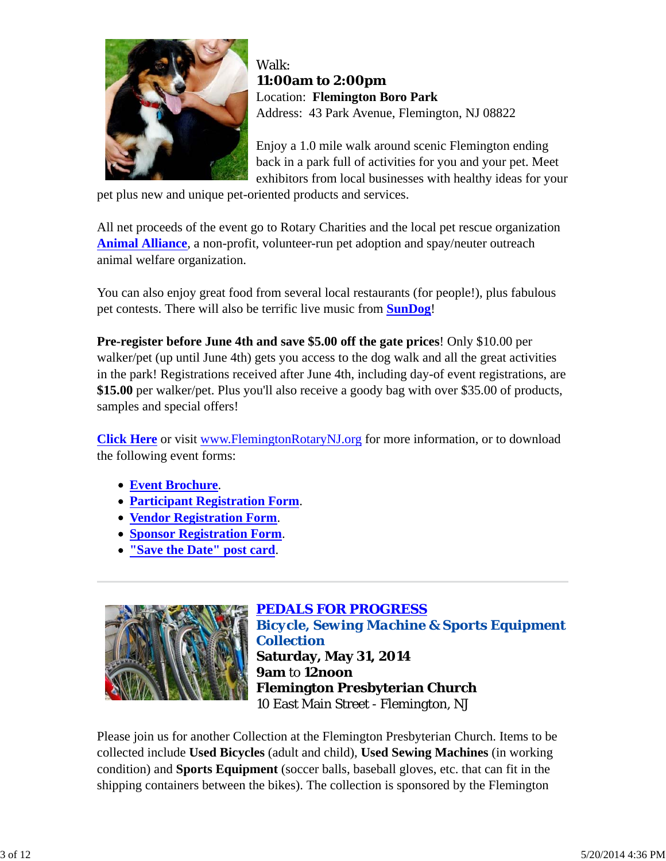

Walk: **11:00am to 2:00pm** Location: **Flemington Boro Park** Address: 43 Park Avenue, Flemington, NJ 08822

Enjoy a 1.0 mile walk around scenic Flemington ending back in a park full of activities for you and your pet. Meet exhibitors from local businesses with healthy ideas for your

pet plus new and unique pet-oriented products and services.

All net proceeds of the event go to Rotary Charities and the local pet rescue organization **Animal Alliance**, a non-profit, volunteer-run pet adoption and spay/neuter outreach animal welfare organization.

You can also enjoy great food from several local restaurants (for people!), plus fabulous pet contests. There will also be terrific live music from **SunDog**!

**Pre-register before June 4th and save \$5.00 off the gate prices**! Only \$10.00 per walker/pet (up until June 4th) gets you access to the dog walk and all the great activities in the park! Registrations received after June 4th, including day-of event registrations, are **\$15.00** per walker/pet. Plus you'll also receive a goody bag with over \$35.00 of products, samples and special offers!

**Click Here** or visit www.FlemingtonRotaryNJ.org for more information, or to download the following event forms:

- **Event Brochure**.
- **Participant Registration Form**.
- **Vendor Registration Form**.
- **Sponsor Registration Form**.
- **"Save the Date" post card**.



*PEDALS FOR PROGRESS Bicycle, Sewing Machine & Sports Equipment Collection* **Saturday, May 31, 2014 9am** to **12noon Flemington Presbyterian Church** 10 East Main Street - Flemington, NJ

Please join us for another Collection at the Flemington Presbyterian Church. Items to be collected include **Used Bicycles** (adult and child), **Used Sewing Machines** (in working condition) and **Sports Equipment** (soccer balls, baseball gloves, etc. that can fit in the shipping containers between the bikes). The collection is sponsored by the Flemington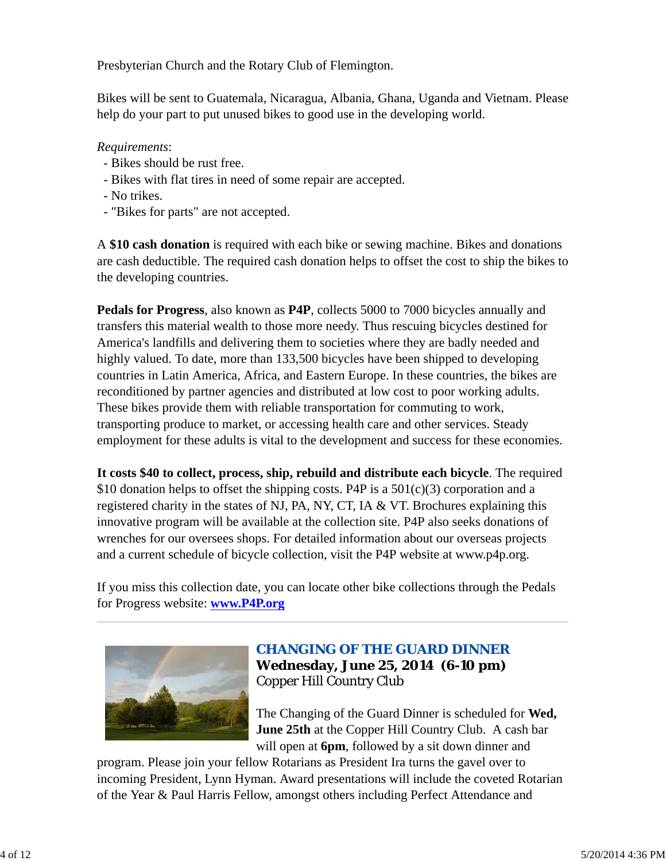Presbyterian Church and the Rotary Club of Flemington.

Bikes will be sent to Guatemala, Nicaragua, Albania, Ghana, Uganda and Vietnam. Please help do your part to put unused bikes to good use in the developing world.

#### *Requirements*:

- Bikes should be rust free.
- Bikes with flat tires in need of some repair are accepted.
- No trikes.
- "Bikes for parts" are not accepted.

A **\$10 cash donation** is required with each bike or sewing machine. Bikes and donations are cash deductible. The required cash donation helps to offset the cost to ship the bikes to the developing countries.

**Pedals for Progress**, also known as **P4P**, collects 5000 to 7000 bicycles annually and transfers this material wealth to those more needy. Thus rescuing bicycles destined for America's landfills and delivering them to societies where they are badly needed and highly valued. To date, more than 133,500 bicycles have been shipped to developing countries in Latin America, Africa, and Eastern Europe. In these countries, the bikes are reconditioned by partner agencies and distributed at low cost to poor working adults. These bikes provide them with reliable transportation for commuting to work, transporting produce to market, or accessing health care and other services. Steady employment for these adults is vital to the development and success for these economies.

**It costs \$40 to collect, process, ship, rebuild and distribute each bicycle**. The required \$10 donation helps to offset the shipping costs. P4P is a  $501(c)(3)$  corporation and a registered charity in the states of NJ, PA, NY, CT, IA & VT. Brochures explaining this innovative program will be available at the collection site. P4P also seeks donations of wrenches for our oversees shops. For detailed information about our overseas projects and a current schedule of bicycle collection, visit the P4P website at www.p4p.org.

If you miss this collection date, you can locate other bike collections through the Pedals for Progress website: **www.P4P.org**



# *CHANGING OF THE GUARD DINNER* **Wednesday, June 25, 2014 (6-10 pm)** Copper Hill Country Club

The Changing of the Guard Dinner is scheduled for **Wed, June 25th** at the Copper Hill Country Club. A cash bar will open at **6pm**, followed by a sit down dinner and

program. Please join your fellow Rotarians as President Ira turns the gavel over to incoming President, Lynn Hyman. Award presentations will include the coveted Rotarian of the Year & Paul Harris Fellow, amongst others including Perfect Attendance and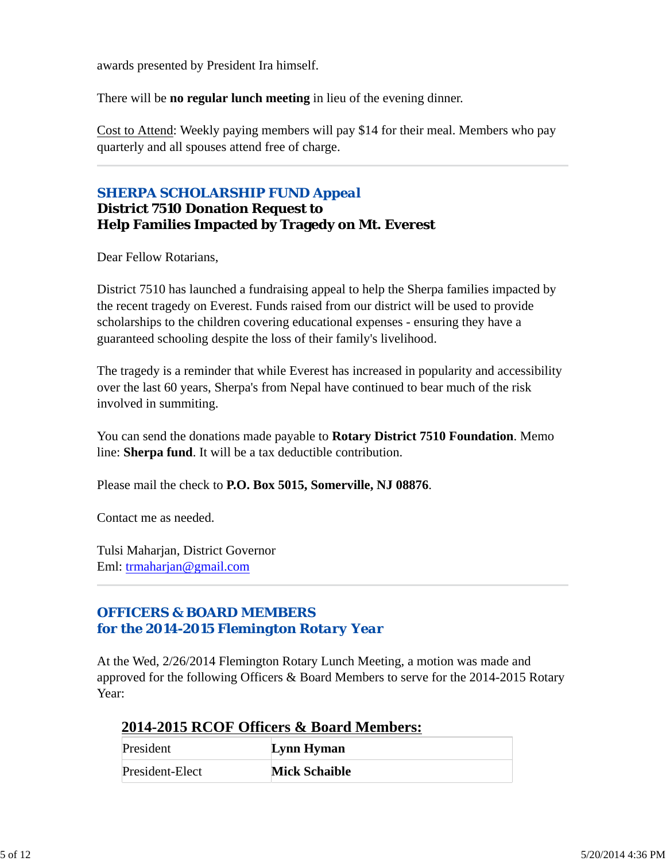awards presented by President Ira himself.

There will be **no regular lunch meeting** in lieu of the evening dinner.

Cost to Attend: Weekly paying members will pay \$14 for their meal. Members who pay quarterly and all spouses attend free of charge.

### *SHERPA SCHOLARSHIP FUND Appeal* **District 7510 Donation Request to Help Families Impacted by Tragedy on Mt. Everest**

Dear Fellow Rotarians,

District 7510 has launched a fundraising appeal to help the Sherpa families impacted by the recent tragedy on Everest. Funds raised from our district will be used to provide scholarships to the children covering educational expenses - ensuring they have a guaranteed schooling despite the loss of their family's livelihood.

The tragedy is a reminder that while Everest has increased in popularity and accessibility over the last 60 years, Sherpa's from Nepal have continued to bear much of the risk involved in summiting.

You can send the donations made payable to **Rotary District 7510 Foundation**. Memo line: **Sherpa fund**. It will be a tax deductible contribution.

Please mail the check to **P.O. Box 5015, Somerville, NJ 08876**.

Contact me as needed.

Tulsi Maharjan, District Governor Eml: trmaharjan@gmail.com

## *OFFICERS & BOARD MEMBERS for the 2014-2015 Flemington Rotary Year*

At the Wed, 2/26/2014 Flemington Rotary Lunch Meeting, a motion was made and approved for the following Officers & Board Members to serve for the 2014-2015 Rotary Year:

### **2014-2015 RCOF Officers & Board Members:**

| President       | Lynn Hyman           |
|-----------------|----------------------|
| President-Elect | <b>Mick Schaible</b> |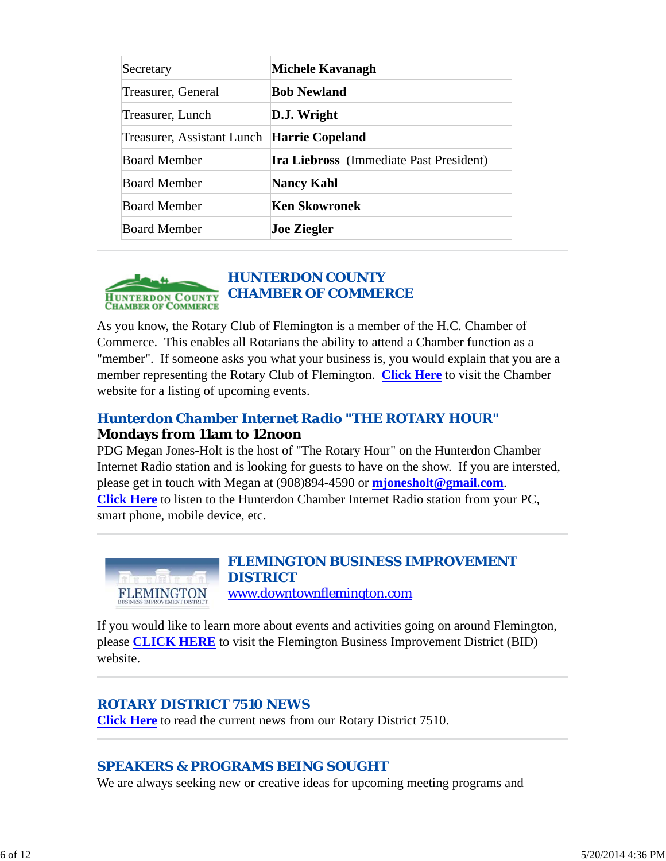| Secretary                  | Michele Kavanagh                               |
|----------------------------|------------------------------------------------|
| Treasurer, General         | <b>Bob Newland</b>                             |
| Treasurer, Lunch           | D.J. Wright                                    |
| Treasurer, Assistant Lunch | Harrie Copeland                                |
| <b>Board Member</b>        | <b>Ira Liebross</b> (Immediate Past President) |
| <b>Board Member</b>        | <b>Nancy Kahl</b>                              |
| <b>Board Member</b>        | <b>Ken Skowronek</b>                           |
| <b>Board Member</b>        | <b>Joe Ziegler</b>                             |



As you know, the Rotary Club of Flemington is a member of the H.C. Chamber of Commerce. This enables all Rotarians the ability to attend a Chamber function as a "member". If someone asks you what your business is, you would explain that you are a member representing the Rotary Club of Flemington. **Click Here** to visit the Chamber website for a listing of upcoming events.

## *Hunterdon Chamber Internet Radio "THE ROTARY HOUR"* **Mondays from 11am to 12noon**

PDG Megan Jones-Holt is the host of "The Rotary Hour" on the Hunterdon Chamber Internet Radio station and is looking for guests to have on the show. If you are intersted, please get in touch with Megan at (908)894-4590 or **mjonesholt@gmail.com**. **Click Here** to listen to the Hunterdon Chamber Internet Radio station from your PC, smart phone, mobile device, etc.



### *FLEMINGTON BUSINESS IMPROVEMENT DISTRICT* www.downtownflemington.com

If you would like to learn more about events and activities going on around Flemington, please **CLICK HERE** to visit the Flemington Business Improvement District (BID) website.

## *ROTARY DISTRICT 7510 NEWS*

**Click Here** to read the current news from our Rotary District 7510.

## *SPEAKERS & PROGRAMS BEING SOUGHT*

We are always seeking new or creative ideas for upcoming meeting programs and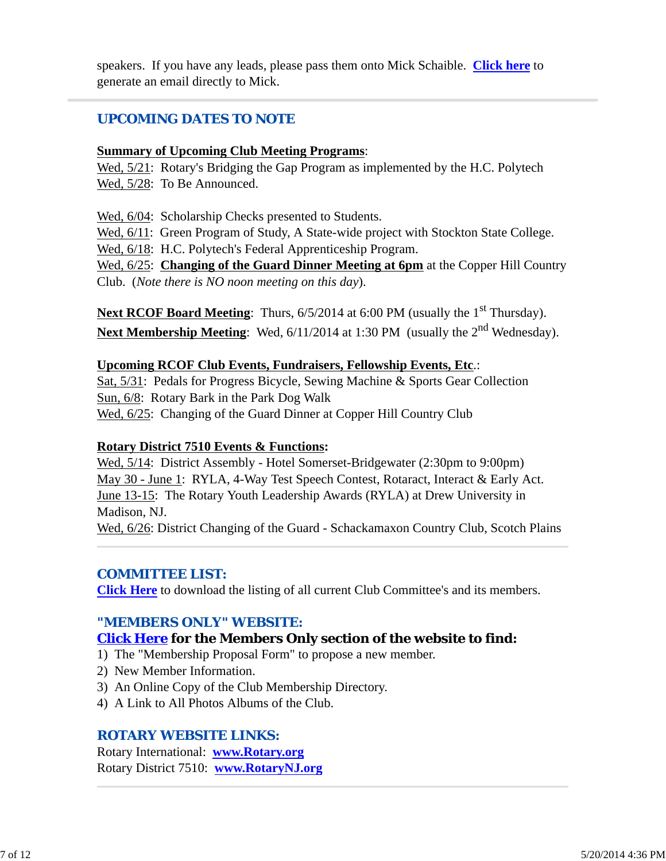speakers. If you have any leads, please pass them onto Mick Schaible. **Click here** to generate an email directly to Mick.

## *UPCOMING DATES TO NOTE*

#### **Summary of Upcoming Club Meeting Programs**:

Wed, 5/21: Rotary's Bridging the Gap Program as implemented by the H.C. Polytech Wed,  $5/28$ : To Be Announced.

Wed, 6/04: Scholarship Checks presented to Students.

Wed,  $6/11$ : Green Program of Study, A State-wide project with Stockton State College. Wed, 6/18: H.C. Polytech's Federal Apprenticeship Program.

Wed, 6/25: **Changing of the Guard Dinner Meeting at 6pm** at the Copper Hill Country Club. (*Note there is NO noon meeting on this day*).

**Next RCOF Board Meeting:** Thurs, 6/5/2014 at 6:00 PM (usually the 1<sup>st</sup> Thursday). Next Membership Meeting: Wed, 6/11/2014 at 1:30 PM (usually the 2<sup>nd</sup> Wednesday).

### **Upcoming RCOF Club Events, Fundraisers, Fellowship Events, Etc**.:

Sat, 5/31: Pedals for Progress Bicycle, Sewing Machine & Sports Gear Collection Sun, 6/8: Rotary Bark in the Park Dog Walk Wed, 6/25: Changing of the Guard Dinner at Copper Hill Country Club

### **Rotary District 7510 Events & Functions:**

Wed,  $5/14$ : District Assembly - Hotel Somerset-Bridgewater (2:30pm to 9:00pm) May 30 - June 1: RYLA, 4-Way Test Speech Contest, Rotaract, Interact & Early Act. June 13-15: The Rotary Youth Leadership Awards (RYLA) at Drew University in Madison, NJ. Wed, 6/26: District Changing of the Guard - Schackamaxon Country Club, Scotch Plains

### *COMMITTEE LIST:*

**Click Here** to download the listing of all current Club Committee's and its members.

## *"MEMBERS ONLY" WEBSITE:*

## **Click Here for the Members Only section of the website to find:**

- 1) The "Membership Proposal Form" to propose a new member.
- 2) New Member Information.
- 3) An Online Copy of the Club Membership Directory.
- 4) A Link to All Photos Albums of the Club.

## *ROTARY WEBSITE LINKS:*

Rotary International: **www.Rotary.org** Rotary District 7510: **www.RotaryNJ.org**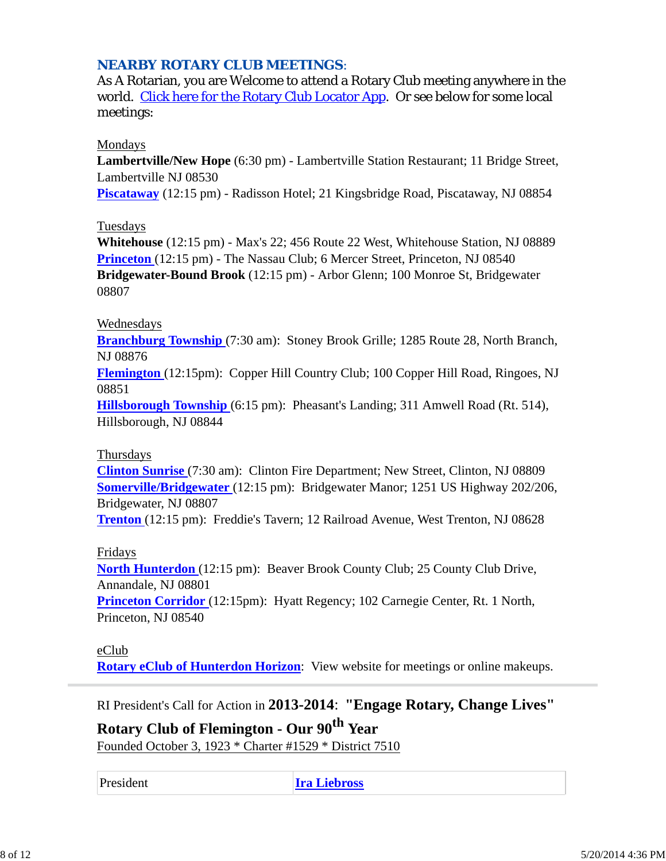### *NEARBY ROTARY CLUB MEETINGS:*

As A Rotarian, you are Welcome to attend a Rotary Club meeting anywhere in the world. Click here for the Rotary Club Locator App. Or see below for some local meetings:

#### Mondays

**Lambertville/New Hope** (6:30 pm) - Lambertville Station Restaurant; 11 Bridge Street, Lambertville NJ 08530

**Piscataway** (12:15 pm) - Radisson Hotel; 21 Kingsbridge Road, Piscataway, NJ 08854

#### **Tuesdays**

**Whitehouse** (12:15 pm) - Max's 22; 456 Route 22 West, Whitehouse Station, NJ 08889 **Princeton** (12:15 pm) - The Nassau Club; 6 Mercer Street, Princeton, NJ 08540 **Bridgewater-Bound Brook** (12:15 pm) - Arbor Glenn; 100 Monroe St, Bridgewater 08807

#### Wednesdays

**Branchburg Township** (7:30 am): Stoney Brook Grille; 1285 Route 28, North Branch, NJ 08876

**Flemington** (12:15pm): Copper Hill Country Club; 100 Copper Hill Road, Ringoes, NJ 08851

**Hillsborough Township** (6:15 pm): Pheasant's Landing; 311 Amwell Road (Rt. 514), Hillsborough, NJ 08844

#### Thursdays

**Clinton Sunrise** (7:30 am): Clinton Fire Department; New Street, Clinton, NJ 08809 **Somerville/Bridgewater** (12:15 pm): Bridgewater Manor; 1251 US Highway 202/206, Bridgewater, NJ 08807

**Trenton** (12:15 pm): Freddie's Tavern; 12 Railroad Avenue, West Trenton, NJ 08628

#### Fridays

**North Hunterdon** (12:15 pm): Beaver Brook County Club; 25 County Club Drive, Annandale, NJ 08801

**Princeton Corridor** (12:15pm): Hyatt Regency; 102 Carnegie Center, Rt. 1 North, Princeton, NJ 08540

#### eClub

**Rotary eClub of Hunterdon Horizon**: View website for meetings or online makeups.

RI President's Call for Action in **2013-2014**: **"Engage Rotary, Change Lives"**

**Rotary Club of Flemington - Our 90th Year** Founded October 3, 1923 \* Charter #1529 \* District 7510

President **Ira Liebross**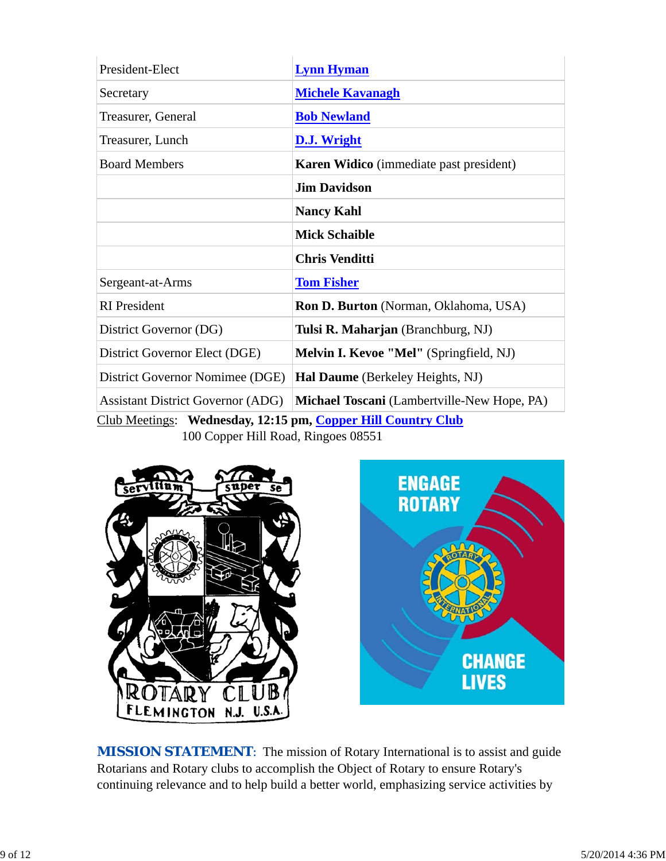| President-Elect                                              | <b>Lynn Hyman</b>                              |  |  |
|--------------------------------------------------------------|------------------------------------------------|--|--|
| Secretary                                                    | <b>Michele Kavanagh</b>                        |  |  |
| Treasurer, General                                           | <b>Bob Newland</b>                             |  |  |
| Treasurer, Lunch                                             | D.J. Wright                                    |  |  |
| <b>Board Members</b>                                         | <b>Karen Widico</b> (immediate past president) |  |  |
|                                                              | <b>Jim Davidson</b>                            |  |  |
|                                                              | <b>Nancy Kahl</b>                              |  |  |
|                                                              | <b>Mick Schaible</b>                           |  |  |
|                                                              | <b>Chris Venditti</b>                          |  |  |
| Sergeant-at-Arms                                             | <b>Tom Fisher</b>                              |  |  |
| <b>RI</b> President                                          | <b>Ron D. Burton</b> (Norman, Oklahoma, USA)   |  |  |
| District Governor (DG)                                       | Tulsi R. Maharjan (Branchburg, NJ)             |  |  |
| District Governor Elect (DGE)                                | Melvin I. Kevoe "Mel" (Springfield, NJ)        |  |  |
| District Governor Nomimee (DGE)                              | Hal Daume (Berkeley Heights, NJ)               |  |  |
| <b>Assistant District Governor (ADG)</b>                     | Michael Toscani (Lambertville-New Hope, PA)    |  |  |
| Club Meetings: Wednesday, 12:15 pm, Copper Hill Country Club |                                                |  |  |

100 Copper Hill Road, Ringoes 08551





**MISSION STATEMENT:** The mission of Rotary International is to assist and guide Rotarians and Rotary clubs to accomplish the Object of Rotary to ensure Rotary's continuing relevance and to help build a better world, emphasizing service activities by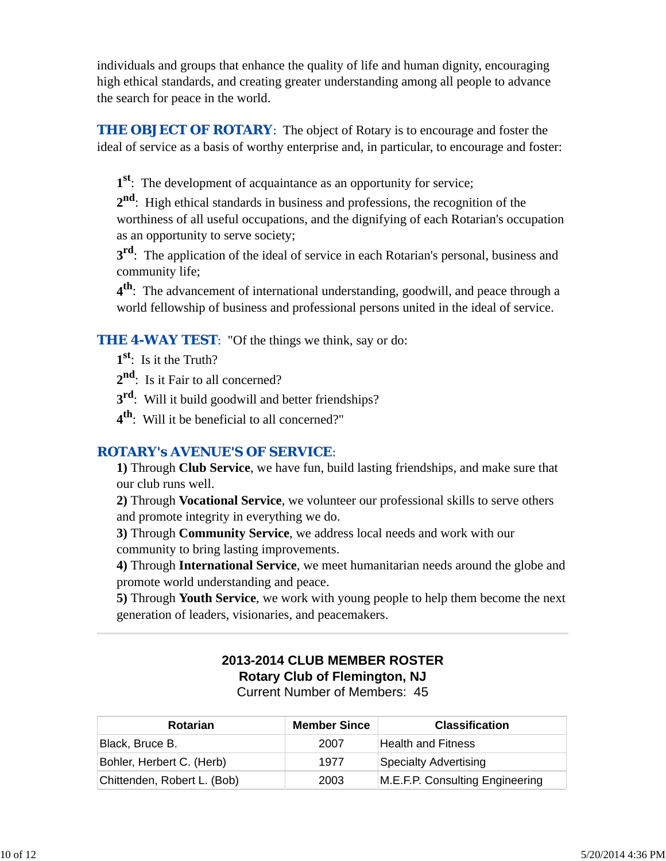individuals and groups that enhance the quality of life and human dignity, encouraging high ethical standards, and creating greater understanding among all people to advance the search for peace in the world.

**THE OBJECT OF ROTARY:** The object of Rotary is to encourage and foster the ideal of service as a basis of worthy enterprise and, in particular, to encourage and foster:

**1st**: The development of acquaintance as an opportunity for service;

**2nd**: High ethical standards in business and professions, the recognition of the worthiness of all useful occupations, and the dignifying of each Rotarian's occupation as an opportunity to serve society;

**3rd**: The application of the ideal of service in each Rotarian's personal, business and community life;

**4th**: The advancement of international understanding, goodwill, and peace through a world fellowship of business and professional persons united in the ideal of service.

**THE 4-WAY TEST:** "Of the things we think, say or do:

**1st**: Is it the Truth?

2<sup>nd</sup>: Is it Fair to all concerned?

**3rd**: Will it build goodwill and better friendships?

**4th**: Will it be beneficial to all concerned?"

### *ROTARY's AVENUE'S OF SERVICE*:

**1)** Through **Club Service**, we have fun, build lasting friendships, and make sure that our club runs well.

**2)** Through **Vocational Service**, we volunteer our professional skills to serve others and promote integrity in everything we do.

**3)** Through **Community Service**, we address local needs and work with our community to bring lasting improvements.

**4)** Through **International Service**, we meet humanitarian needs around the globe and promote world understanding and peace.

**5)** Through **Youth Service**, we work with young people to help them become the next generation of leaders, visionaries, and peacemakers.

# **2013-2014 CLUB MEMBER ROSTER Rotary Club of Flemington, NJ**

Current Number of Members: 45

| <b>Rotarian</b>             | <b>Member Since</b> | <b>Classification</b>           |
|-----------------------------|---------------------|---------------------------------|
| Black, Bruce B.             | 2007                | <b>Health and Fitness</b>       |
| Bohler, Herbert C. (Herb)   | 1977                | Specialty Advertising           |
| Chittenden, Robert L. (Bob) | 2003                | M.E.F.P. Consulting Engineering |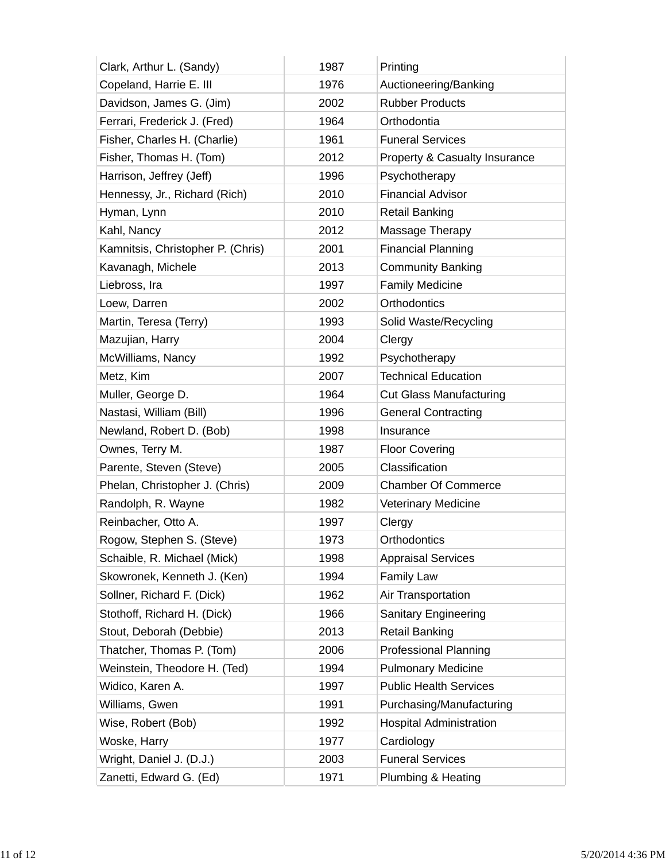| Clark, Arthur L. (Sandy)          | 1987 | Printing                       |
|-----------------------------------|------|--------------------------------|
| Copeland, Harrie E. III           | 1976 | Auctioneering/Banking          |
| Davidson, James G. (Jim)          | 2002 | <b>Rubber Products</b>         |
| Ferrari, Frederick J. (Fred)      | 1964 | Orthodontia                    |
| Fisher, Charles H. (Charlie)      | 1961 | <b>Funeral Services</b>        |
| Fisher, Thomas H. (Tom)           | 2012 | Property & Casualty Insurance  |
| Harrison, Jeffrey (Jeff)          | 1996 | Psychotherapy                  |
| Hennessy, Jr., Richard (Rich)     | 2010 | <b>Financial Advisor</b>       |
| Hyman, Lynn                       | 2010 | <b>Retail Banking</b>          |
| Kahl, Nancy                       | 2012 | Massage Therapy                |
| Kamnitsis, Christopher P. (Chris) | 2001 | <b>Financial Planning</b>      |
| Kavanagh, Michele                 | 2013 | <b>Community Banking</b>       |
| Liebross, Ira                     | 1997 | <b>Family Medicine</b>         |
| Loew, Darren                      | 2002 | Orthodontics                   |
| Martin, Teresa (Terry)            | 1993 | Solid Waste/Recycling          |
| Mazujian, Harry                   | 2004 | Clergy                         |
| McWilliams, Nancy                 | 1992 | Psychotherapy                  |
| Metz, Kim                         | 2007 | <b>Technical Education</b>     |
| Muller, George D.                 | 1964 | <b>Cut Glass Manufacturing</b> |
| Nastasi, William (Bill)           | 1996 | <b>General Contracting</b>     |
| Newland, Robert D. (Bob)          | 1998 | Insurance                      |
| Ownes, Terry M.                   | 1987 | <b>Floor Covering</b>          |
| Parente, Steven (Steve)           | 2005 | Classification                 |
| Phelan, Christopher J. (Chris)    | 2009 | <b>Chamber Of Commerce</b>     |
| Randolph, R. Wayne                | 1982 | <b>Veterinary Medicine</b>     |
| Reinbacher, Otto A.               | 1997 | Clergy                         |
| Rogow, Stephen S. (Steve)         | 1973 | Orthodontics                   |
| Schaible, R. Michael (Mick)       | 1998 | <b>Appraisal Services</b>      |
| Skowronek, Kenneth J. (Ken)       | 1994 | Family Law                     |
| Sollner, Richard F. (Dick)        | 1962 | Air Transportation             |
| Stothoff, Richard H. (Dick)       | 1966 | <b>Sanitary Engineering</b>    |
| Stout, Deborah (Debbie)           | 2013 | <b>Retail Banking</b>          |
| Thatcher, Thomas P. (Tom)         | 2006 | <b>Professional Planning</b>   |
| Weinstein, Theodore H. (Ted)      | 1994 | <b>Pulmonary Medicine</b>      |
| Widico, Karen A.                  | 1997 | <b>Public Health Services</b>  |
| Williams, Gwen                    | 1991 | Purchasing/Manufacturing       |
| Wise, Robert (Bob)                | 1992 | <b>Hospital Administration</b> |
| Woske, Harry                      | 1977 | Cardiology                     |
| Wright, Daniel J. (D.J.)          | 2003 | <b>Funeral Services</b>        |
| Zanetti, Edward G. (Ed)           | 1971 | Plumbing & Heating             |